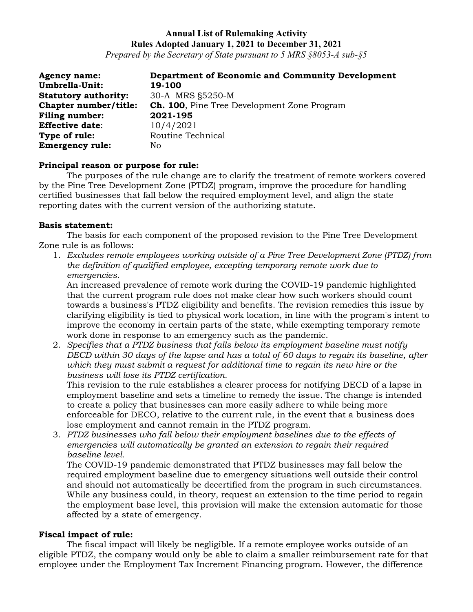# **Annual List of Rulemaking Activity Rules Adopted January 1, 2021 to December 31, 2021**

*Prepared by the Secretary of State pursuant to 5 MRS §8053-A sub-§5*

| <b>Agency name:</b>         | <b>Department of Economic and Community Development</b> |
|-----------------------------|---------------------------------------------------------|
| Umbrella-Unit:              | 19-100                                                  |
| <b>Statutory authority:</b> | 30-A MRS §5250-M                                        |
| Chapter number/title:       | <b>Ch. 100</b> , Pine Tree Development Zone Program     |
| <b>Filing number:</b>       | 2021-195                                                |
| <b>Effective date:</b>      | 10/4/2021                                               |
| Type of rule:               | Routine Technical                                       |
| <b>Emergency rule:</b>      | No                                                      |

### **Principal reason or purpose for rule:**

The purposes of the rule change are to clarify the treatment of remote workers covered by the Pine Tree Development Zone (PTDZ) program, improve the procedure for handling certified businesses that fall below the required employment level, and align the state reporting dates with the current version of the authorizing statute.

### **Basis statement:**

The basis for each component of the proposed revision to the Pine Tree Development Zone rule is as follows:

1. *Excludes remote employees working outside of a Pine Tree Development Zone (PTDZ) from the definition of qualified employee, excepting temporary remote work due to emergencies.*

An increased prevalence of remote work during the COVID-19 pandemic highlighted that the current program rule does not make clear how such workers should count towards a business's PTDZ eligibility and benefits. The revision remedies this issue by clarifying eligibility is tied to physical work location, in line with the program's intent to improve the economy in certain parts of the state, while exempting temporary remote work done in response to an emergency such as the pandemic.

2. *Specifies that a PTDZ business that falls below its employment baseline must notify DECD within 30 days of the lapse and has a total of 60 days to regain its baseline, after which they must submit a request for additional time to regain its new hire or the business will lose its PTDZ certification.* 

This revision to the rule establishes a clearer process for notifying DECD of a lapse in employment baseline and sets a timeline to remedy the issue. The change is intended to create a policy that businesses can more easily adhere to while being more enforceable for DECO, relative to the current rule, in the event that a business does lose employment and cannot remain in the PTDZ program.

3. *PTDZ businesses who fall below their employment baselines due to the effects of emergencies will automatically be granted an extension to regain their required baseline level.* 

The COVID-19 pandemic demonstrated that PTDZ businesses may fall below the required employment baseline due to emergency situations well outside their control and should not automatically be decertified from the program in such circumstances. While any business could, in theory, request an extension to the time period to regain the employment base level, this provision will make the extension automatic for those affected by a state of emergency.

## **Fiscal impact of rule:**

The fiscal impact will likely be negligible. If a remote employee works outside of an eligible PTDZ, the company would only be able to claim a smaller reimbursement rate for that employee under the Employment Tax Increment Financing program. However, the difference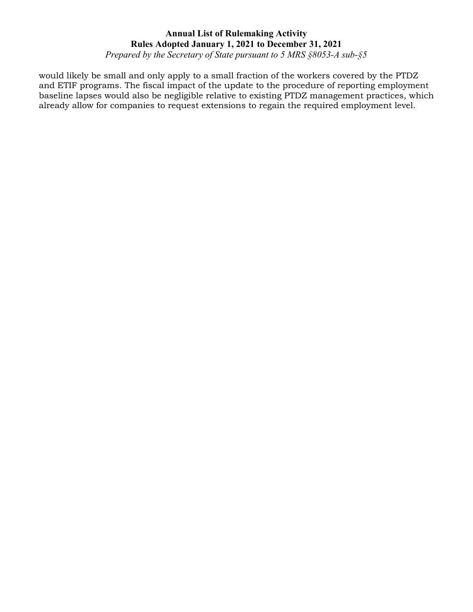# **Annual List of Rulemaking Activity Rules Adopted January 1, 2021 to December 31, 2021**

*Prepared by the Secretary of State pursuant to 5 MRS §8053-A sub-§5*

would likely be small and only apply to a small fraction of the workers covered by the PTDZ and ETIF programs. The fiscal impact of the update to the procedure of reporting employment baseline lapses would also be negligible relative to existing PTDZ management practices, which already allow for companies to request extensions to regain the required employment level.